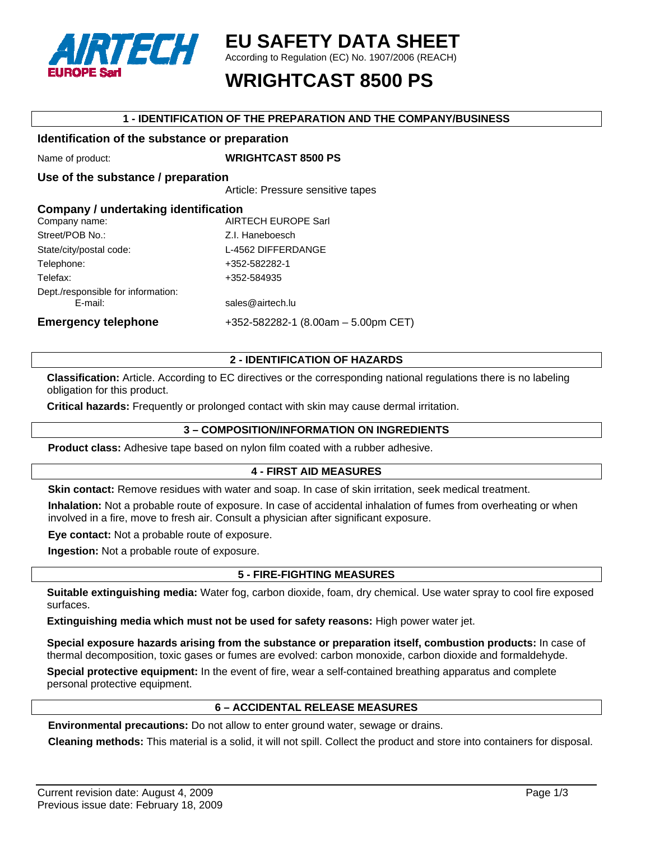

## **EU SAFETY DATA SHEET**

According to Regulation (EC) No. 1907/2006 (REACH)

# **WRIGHTCAST 8500 PS**

#### **1 - IDENTIFICATION OF THE PREPARATION AND THE COMPANY/BUSINESS**

#### **Identification of the substance or preparation**

Name of product: **WRIGHTCAST 8500 PS** 

### **Use of the substance / preparation**

Article: Pressure sensitive tapes

| Company / undertaking identification |                                     |
|--------------------------------------|-------------------------------------|
| Company name:                        | <b>AIRTECH EUROPE Sarl</b>          |
| Street/POB No.:                      | Z.I. Haneboesch                     |
| State/city/postal code:              | L-4562 DIFFERDANGE                  |
| Telephone:                           | +352-582282-1                       |
| Telefax:                             | +352-584935                         |
| Dept./responsible for information:   |                                     |
| E-mail:                              | sales@airtech.lu                    |
| <b>Emergency telephone</b>           | +352-582282-1 (8.00am - 5.00pm CET) |

### **2 - IDENTIFICATION OF HAZARDS**

**Classification:** Article. According to EC directives or the corresponding national regulations there is no labeling obligation for this product.

**Critical hazards:** Frequently or prolonged contact with skin may cause dermal irritation.

### **3 – COMPOSITION/INFORMATION ON INGREDIENTS**

**Product class:** Adhesive tape based on nylon film coated with a rubber adhesive.

### **4 - FIRST AID MEASURES**

**Skin contact:** Remove residues with water and soap. In case of skin irritation, seek medical treatment.

**Inhalation:** Not a probable route of exposure. In case of accidental inhalation of fumes from overheating or when involved in a fire, move to fresh air. Consult a physician after significant exposure.

**Eye contact:** Not a probable route of exposure.

**Ingestion:** Not a probable route of exposure.

### **5 - FIRE-FIGHTING MEASURES**

**Suitable extinguishing media:** Water fog, carbon dioxide, foam, dry chemical. Use water spray to cool fire exposed surfaces.

**Extinguishing media which must not be used for safety reasons:** High power water jet.

**Special exposure hazards arising from the substance or preparation itself, combustion products:** In case of thermal decomposition, toxic gases or fumes are evolved: carbon monoxide, carbon dioxide and formaldehyde.

**Special protective equipment:** In the event of fire, wear a self-contained breathing apparatus and complete personal protective equipment.

### **6 – ACCIDENTAL RELEASE MEASURES**

**Environmental precautions:** Do not allow to enter ground water, sewage or drains.

**Cleaning methods:** This material is a solid, it will not spill. Collect the product and store into containers for disposal.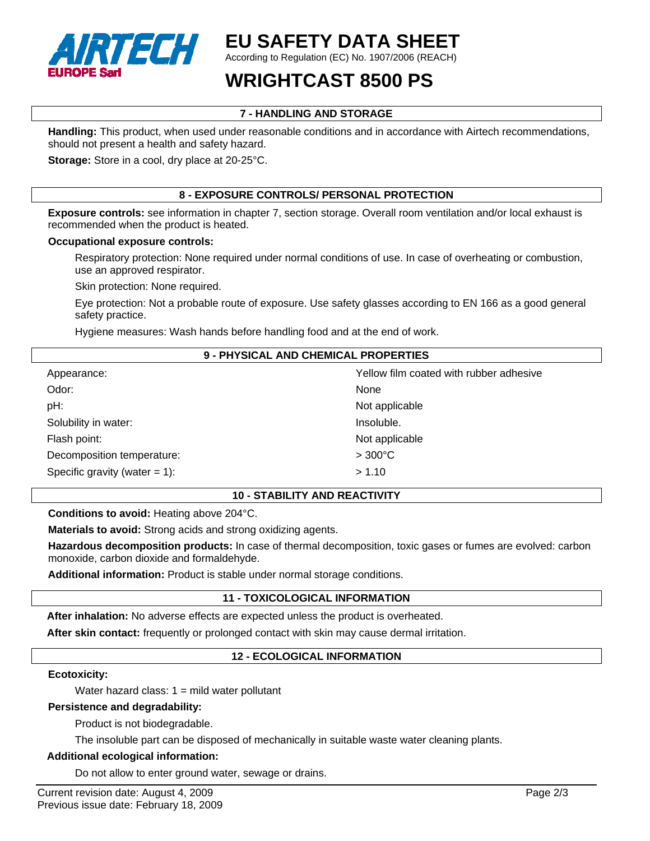

# **EU SAFETY DATA SHEET**

According to Regulation (EC) No. 1907/2006 (REACH)

# **WRIGHTCAST 8500 PS**

## **7 - HANDLING AND STORAGE**

**Handling:** This product, when used under reasonable conditions and in accordance with Airtech recommendations, should not present a health and safety hazard.

**Storage:** Store in a cool, dry place at 20-25°C.

## **8 - EXPOSURE CONTROLS/ PERSONAL PROTECTION**

**Exposure controls:** see information in chapter 7, section storage. Overall room ventilation and/or local exhaust is recommended when the product is heated.

#### **Occupational exposure controls:**

Respiratory protection: None required under normal conditions of use. In case of overheating or combustion, use an approved respirator.

Skin protection: None required.

Eye protection: Not a probable route of exposure. Use safety glasses according to EN 166 as a good general safety practice.

Hygiene measures: Wash hands before handling food and at the end of work.

#### **9 - PHYSICAL AND CHEMICAL PROPERTIES**

| Appearance:                      | Yellow film coated with rubber adhesive |
|----------------------------------|-----------------------------------------|
| Odor:                            | None                                    |
| pH:                              | Not applicable                          |
| Solubility in water:             | Insoluble.                              |
| Flash point:                     | Not applicable                          |
| Decomposition temperature:       | $>300^{\circ}$ C                        |
| Specific gravity (water $= 1$ ): | > 1.10                                  |

#### **10 - STABILITY AND REACTIVITY**

**Conditions to avoid:** Heating above 204°C.

**Materials to avoid:** Strong acids and strong oxidizing agents.

**Hazardous decomposition products:** In case of thermal decomposition, toxic gases or fumes are evolved: carbon monoxide, carbon dioxide and formaldehyde.

**Additional information:** Product is stable under normal storage conditions.

### **11 - TOXICOLOGICAL INFORMATION**

**After inhalation:** No adverse effects are expected unless the product is overheated.

**After skin contact:** frequently or prolonged contact with skin may cause dermal irritation.

### **12 - ECOLOGICAL INFORMATION**

#### **Ecotoxicity:**

Water hazard class:  $1 =$  mild water pollutant

#### **Persistence and degradability:**

Product is not biodegradable.

The insoluble part can be disposed of mechanically in suitable waste water cleaning plants.

#### **Additional ecological information:**

Do not allow to enter ground water, sewage or drains.